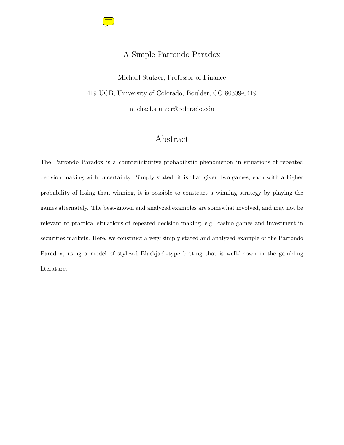

### A Simple Parrondo Paradox

Michael Stutzer, Professor of Finance 419 UCB, University of Colorado, Boulder, CO 80309-0419 michael.stutzer@colorado.edu

## Abstract

The Parrondo Paradox is a counterintuitive probabilistic phenomenon in situations of repeated decision making with uncertainty. Simply stated, it is that given two games, each with a higher probability of losing than winning, it is possible to construct a winning strategy by playing the games alternately. The best-known and analyzed examples are somewhat involved, and may not be relevant to practical situations of repeated decision making, e.g. casino games and investment in securities markets. Here, we construct a very simply stated and analyzed example of the Parrondo Paradox, using a model of stylized Blackjack-type betting that is well-known in the gambling literature.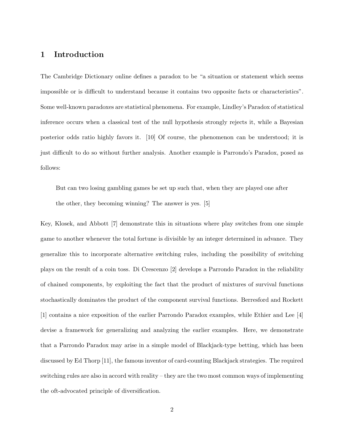### 1 Introduction

The Cambridge Dictionary online defines a paradox to be "a situation or statement which seems impossible or is difficult to understand because it contains two opposite facts or characteristics". Some well-known paradoxes are statistical phenomena. For example, Lindley's Paradox of statistical inference occurs when a classical test of the null hypothesis strongly rejects it, while a Bayesian posterior odds ratio highly favors it. [10] Of course, the phenomenon can be understood; it is just difficult to do so without further analysis. Another example is Parrondo's Paradox, posed as follows:

But can two losing gambling games be set up such that, when they are played one after the other, they becoming winning? The answer is yes. [5]

Key, Klosek, and Abbott [7] demonstrate this in situations where play switches from one simple game to another whenever the total fortune is divisible by an integer determined in advance. They generalize this to incorporate alternative switching rules, including the possibility of switching plays on the result of a coin toss. Di Crescenzo [2] develops a Parrondo Paradox in the reliability of chained components, by exploiting the fact that the product of mixtures of survival functions stochastically dominates the product of the component survival functions. Berresford and Rockett [1] contains a nice exposition of the earlier Parrondo Paradox examples, while Ethier and Lee [4] devise a framework for generalizing and analyzing the earlier examples. Here, we demonstrate that a Parrondo Paradox may arise in a simple model of Blackjack-type betting, which has been discussed by Ed Thorp [11], the famous inventor of card-counting Blackjack strategies. The required switching rules are also in accord with reality – they are the two most common ways of implementing the oft-advocated principle of diversification.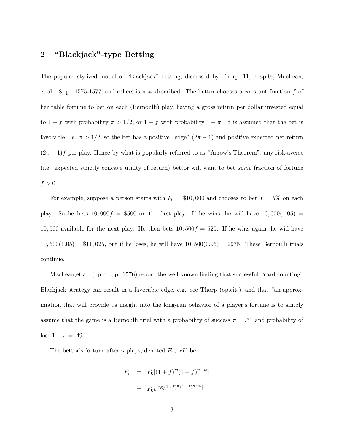# 2 "Blackjack"-type Betting

The popular stylized model of "Blackjack" betting, discussed by Thorp [11, chap.9], MacLean, et.al. [8, p. 1575-1577] and others is now described. The bettor chooses a constant fraction f of her table fortune to bet on each (Bernoulli) play, having a gross return per dollar invested equal to  $1 + f$  with probability  $\pi > 1/2$ , or  $1 - f$  with probability  $1 - \pi$ . It is assumed that the bet is favorable, i.e.  $\pi > 1/2$ , so the bet has a positive "edge"  $(2\pi - 1)$  and positive expected net return  $(2\pi - 1)f$  per play. Hence by what is popularly referred to as "Arrow's Theorem", any risk-averse (i.e. expected strictly concave utility of return) bettor will want to bet some fraction of fortune  $f > 0$ .

For example, suppose a person starts with  $F_0 = $10,000$  and chooses to bet  $f = 5\%$  on each play. So he bets  $10,000f = $500$  on the first play. If he wins, he will have  $10,000(1.05)$  = 10, 500 available for the next play. He then bets  $10,500f = 525$ . If he wins again, he will have  $10,500(1.05) = $11,025$ , but if he loses, he will have  $10,500(0.95) = 9975$ . These Bernoulli trials continue.

MacLean,et.al. (op.cit., p. 1576) report the well-known finding that successful "card counting" Blackjack strategy can result in a favorable edge, e.g. see Thorp (op.cit.), and that "an approximation that will provide us insight into the long-run behavior of a player's fortune is to simply assume that the game is a Bernoulli trial with a probability of success  $\pi = .51$  and probability of  $loss 1 - \pi = .49."$ 

The bettor's fortune after *n* plays, denoted  $F_n$ , will be

$$
F_n = F_0[(1+f)^w(1-f)^{n-w}]
$$
  
=  $F_0 e^{\log[(1+f)^w(1-f)^{n-w}]}$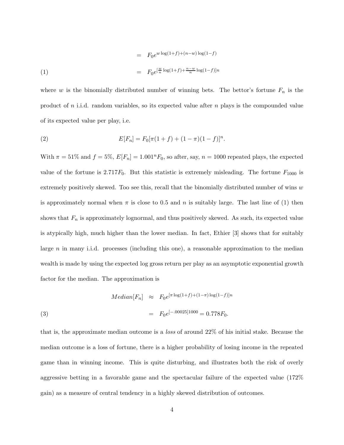(1)  
\n
$$
= F_0 e^{w \log(1+f) + (n-w) \log(1-f)}
$$
\n
$$
= F_0 e^{[\frac{w}{n} \log(1+f) + \frac{n-w}{n} \log(1-f)]n}
$$

where w is the binomially distributed number of winning bets. The bettor's fortune  $F_n$  is the product of n i.i.d. random variables, so its expected value after n plays is the compounded value of its expected value per play, i.e.

(2) 
$$
E[F_n] = F_0[\pi(1+f) + (1-\pi)(1-f)]^n.
$$

With  $\pi = 51\%$  and  $f = 5\%, E[F_n] = 1.001^nF_0$ , so after, say,  $n = 1000$  repeated plays, the expected value of the fortune is  $2.717F_0$ . But this statistic is extremely misleading. The fortune  $F_{1000}$  is extremely positively skewed. Too see this, recall that the binomially distributed number of wins  $w$ is approximately normal when  $\pi$  is close to 0.5 and n is suitably large. The last line of (1) then shows that  $F_n$  is approximately lognormal, and thus positively skewed. As such, its expected value is atypically high, much higher than the lower median. In fact, Ethier [3] shows that for suitably large n in many i.i.d. processes (including this one), a reasonable approximation to the median wealth is made by using the expected log gross return per play as an asymptotic exponential growth factor for the median. The approximation is

(3) 
$$
Median[F_n] \approx F_0 e^{[\pi \log(1+f)+(1-\pi)\log(1-f)]n}
$$

$$
= F_0 e^{[-.00025]1000} = 0.778F_0.
$$

that is, the approximate median outcome is a loss of around 22% of his initial stake. Because the median outcome is a loss of fortune, there is a higher probability of losing income in the repeated game than in winning income. This is quite disturbing, and illustrates both the risk of overly aggressive betting in a favorable game and the spectacular failure of the expected value (172% gain) as a measure of central tendency in a highly skewed distribution of outcomes.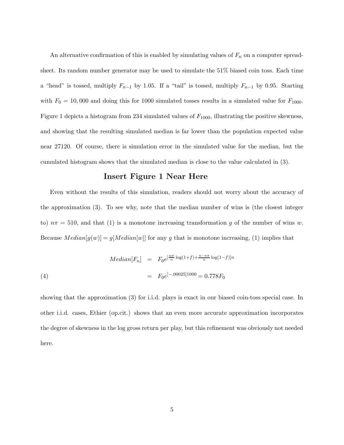An alternative confirmation of this is enabled by simulating values of  $F_n$  on a computer spreadsheet. Its random number generator may be used to simulate the 51% biased coin toss. Each time a "head" is tossed, multiply  $F_{n-1}$  by 1.05. If a "tail" is tossed, multiply  $F_{n-1}$  by 0.95. Starting with  $F_0 = 10,000$  and doing this for 1000 simulated tosses results in a simulated value for  $F_{1000}$ . Figure 1 depicts a histogram from 234 simulated values of  $F_{1000}$ , illustrating the positive skewness, and showing that the resulting simulated median is far lower than the population expected value near 27120. Of course, there is simulation error in the simulated value for the median, but the cumulated histogram shows that the simulated median is close to the value calculated in (3).

#### Insert Figure 1 Near Here

Even without the results of this simulation, readers should not worry about the accuracy of the approximation (3). To see why, note that the median number of wins is (the closest integer to)  $n\pi = 510$ , and that (1) is a monotone increasing transformation g of the number of wins w. Because  $Median[g(w)] = g[Median[w]]$  for any g that is monotone increasing, (1) implies that

(4) 
$$
Median[F_n] = F_0 e^{\left[\frac{n\pi}{n}\log(1+f) + \frac{n-n\pi}{n}\log(1-f)\right]n}
$$

$$
= F_0 e^{\left[-.00025\right]1000} = 0.778F_0
$$

showing that the approximation (3) for i.i.d. plays is exact in our biased coin-toss special case. In other i.i.d. cases, Ethier (op.cit.) shows that an even more accurate approximation incorporates the degree of skewness in the log gross return per play, but this refinement was obviously not needed here.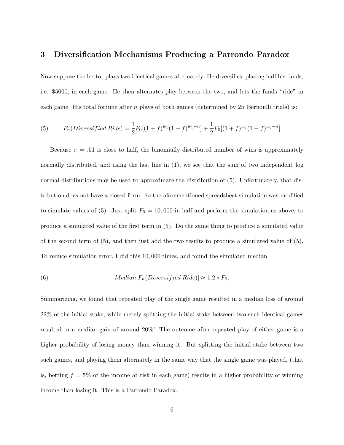#### 3 Diversification Mechanisms Producing a Parrondo Paradox

Now suppose the bettor plays two identical games alternately. He diversifies, placing half his funds, i.e. \$5000, in each game. He then alternates play between the two, and lets the funds "ride" in each game. His total fortune after n plays of both games (determined by  $2n$  Bernoulli trials) is:

(5) 
$$
F_n(Diversified\,Ride) = \frac{1}{2}F_0[(1+f)^{w_1}(1-f)^{w_1-n}] + \frac{1}{2}F_0[(1+f)^{w_2}(1-f)^{w_2-n}]
$$

Because  $\pi = .51$  is close to half, the binomially distributed number of wins is approximately normally distributed, and using the last line in  $(1)$ , we see that the sum of two independent log normal distributions may be used to approximate the distribution of (5). Unfortunately, that distribution does not have a closed form. So the aforementioned spreadsheet simulation was modified to simulate values of (5). Just split  $F_0 = 10,000$  in half and perform the simulation as above, to produce a simulated value of the first term in (5). Do the same thing to produce a simulated value of the second term of (5), and then just add the two results to produce a simulated value of (5). To reduce simulation error, I did this 10, 000 times, and found the simulated median

(6) 
$$
Median[F_n(Diversified\,Ride)] \approx 1.2 * F_0.
$$

Summarizing, we found that repeated play of the single game resulted in a median loss of around 22% of the initial stake, while merely splitting the initial stake between two such identical games resulted in a median gain of around 20%! The outcome after repeated play of either game is a higher probability of losing money than winning it. But splitting the initial stake between two such games, and playing them alternately in the same way that the single game was played, (that is, betting  $f = 5\%$  of the income at risk in each game) results in a higher probability of winning income than losing it. This is a Parrondo Paradox.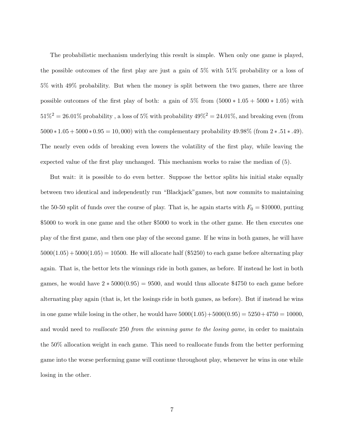The probabilistic mechanism underlying this result is simple. When only one game is played, the possible outcomes of the first play are just a gain of 5% with 51% probability or a loss of 5% with 49% probability. But when the money is split between the two games, there are three possible outcomes of the first play of both: a gain of  $5\%$  from  $(5000 * 1.05 + 5000 * 1.05)$  with  $51\%^2 = 26.01\%$  probability, a loss of 5% with probability  $49\%^2 = 24.01\%$ , and breaking even (from  $5000 * 1.05 + 5000 * 0.95 = 10,000$  with the complementary probability  $49.98\%$  (from  $2 * .51 * .49$ ). The nearly even odds of breaking even lowers the volatility of the first play, while leaving the expected value of the first play unchanged. This mechanism works to raise the median of (5).

But wait: it is possible to do even better. Suppose the bettor splits his initial stake equally between two identical and independently run "Blackjack"games, but now commits to maintaining the 50-50 split of funds over the course of play. That is, he again starts with  $F_0 = $10000$ , putting \$5000 to work in one game and the other \$5000 to work in the other game. He then executes one play of the first game, and then one play of the second game. If he wins in both games, he will have  $5000(1.05) + 5000(1.05) = 10500$ . He will allocate half (\$5250) to each game before alternating play again. That is, the bettor lets the winnings ride in both games, as before. If instead he lost in both games, he would have  $2 * 5000(0.95) = 9500$ , and would thus allocate \$4750 to each game before alternating play again (that is, let the losings ride in both games, as before). But if instead he wins in one game while losing in the other, he would have  $5000(1.05) + 5000(0.95) = 5250 + 4750 = 10000$ , and would need to *reallocate* 250 from the winning game to the losing game, in order to maintain the 50% allocation weight in each game. This need to reallocate funds from the better performing game into the worse performing game will continue throughout play, whenever he wins in one while losing in the other.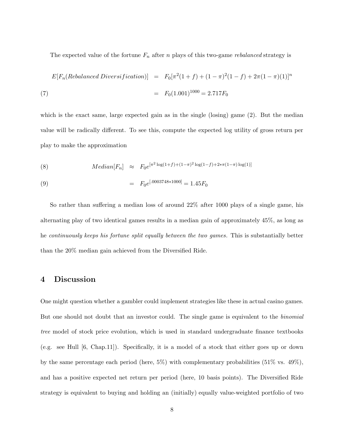The expected value of the fortune  $F_n$  after n plays of this two-game rebalanced strategy is

$$
E[F_n(Rebalanced \, Diversification)] = F_0[\pi^2(1+f) + (1-\pi)^2(1-f) + 2\pi(1-\pi)(1)]^n
$$
  
(7) 
$$
= F_0(1.001)^{1000} = 2.717F_0
$$

which is the exact same, large expected gain as in the single (losing) game  $(2)$ . But the median value will be radically different. To see this, compute the expected log utility of gross return per play to make the approximation

(8) 
$$
Median[F_n] \approx F_0e^{[\pi^2 \log(1+f)+(1-\pi)^2 \log(1-f)+2*\pi(1-\pi)\log(1)]}
$$

(9) 
$$
= F_0 e^{[.0003748 * 1000]} = 1.45 F_0
$$

So rather than suffering a median loss of around 22% after 1000 plays of a single game, his alternating play of two identical games results in a median gain of approximately 45%, as long as he continuously keeps his fortune split equally between the two games. This is substantially better than the 20% median gain achieved from the Diversified Ride.

#### 4 Discussion

One might question whether a gambler could implement strategies like these in actual casino games. But one should not doubt that an investor could. The single game is equivalent to the binomial tree model of stock price evolution, which is used in standard undergraduate finance textbooks (e.g. see Hull [6, Chap.11]). Specifically, it is a model of a stock that either goes up or down by the same percentage each period (here,  $5\%$ ) with complementary probabilities ( $51\%$  vs.  $49\%$ ), and has a positive expected net return per period (here, 10 basis points). The Diversified Ride strategy is equivalent to buying and holding an (initially) equally value-weighted portfolio of two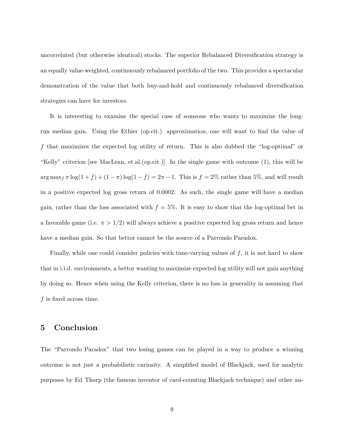uncorrelated (but otherwise identical) stocks. The superior Rebalanced Diversification strategy is an equally value-weighted, continuously rebalanced portfolio of the two. This provides a spectacular demonstration of the value that both buy-and-hold and continuously rebalanced diversification strategies can have for investors.

It is interesting to examine the special case of someone who wants to maximize the longrun median gain. Using the Ethier (op.cit.) approximation, one will want to find the value of f that maximizes the expected log utility of return. This is also dubbed the "log-optimal" or "Kelly" criterion [see MacLean, et.al.(op.cit.)]. In the single game with outcome (1), this will be  $\arg \max_{f} \pi \log(1 + f) + (1 - \pi) \log(1 - f) = 2\pi - 1$ . This is  $f = 2\%$  rather than 5%, and will result in a positive expected log gross return of 0.0002. As such, the single game will have a median gain, rather than the loss associated with  $f = 5\%$ . It is easy to show that the log-optimal bet in a favorable game (i.e.  $\pi > 1/2$ ) will always achieve a positive expected log gross return and hence have a median gain. So that bettor cannot be the source of a Parrondo Paradox.

Finally, while one could consider policies with time-varying values of  $f$ , it is not hard to show that in i.i.d. environments, a bettor wanting to maximize expected log utility will not gain anything by doing so. Hence when using the Kelly criterion, there is no loss in generality in assuming that  $f$  is fixed across time.

## 5 Conclusion

The "Parrondo Paradox" that two losing games can be played in a way to produce a winning outcome is not just a probabilistic curiosity. A simplified model of Blackjack, used for analytic purposes by Ed Thorp (the famous inventor of card-counting Blackjack technique) and other an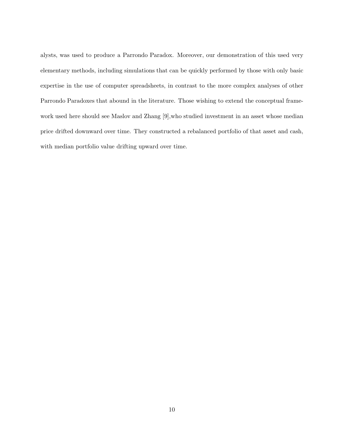alysts, was used to produce a Parrondo Paradox. Moreover, our demonstration of this used very elementary methods, including simulations that can be quickly performed by those with only basic expertise in the use of computer spreadsheets, in contrast to the more complex analyses of other Parrondo Paradoxes that abound in the literature. Those wishing to extend the conceptual framework used here should see Maslov and Zhang [9],who studied investment in an asset whose median price drifted downward over time. They constructed a rebalanced portfolio of that asset and cash, with median portfolio value drifting upward over time.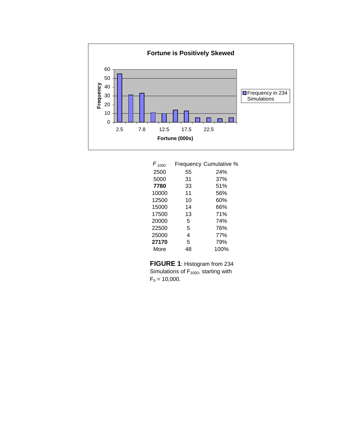

| $F_{1000}$ |    | Frequency Cumulative % |
|------------|----|------------------------|
| 2500       | 55 | 24%                    |
| 5000       | 31 | 37%                    |
| 7780       | 33 | 51%                    |
| 10000      | 11 | 56%                    |
| 12500      | 10 | 60%                    |
| 15000      | 14 | 66%                    |
| 17500      | 13 | 71%                    |
| 20000      | 5  | 74%                    |
| 22500      | 5  | 76%                    |
| 25000      | 4  | 77%                    |
| 27170      | 5  | 79%                    |
| More       | 48 | 100%                   |
|            |    |                        |

**FIGURE 1**: Histogram from 234 Simulations of  $F_{1000}$ , starting with  $F_0 = 10,000$ .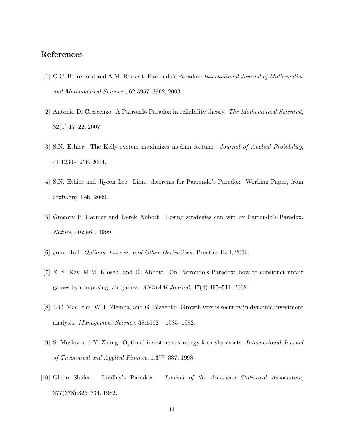## References

- [1] G.C. Berresford and A.M. Rockett. Parrondo's Paradox. International Journal of Mathematics and Mathematical Sciences, 62:3957–3962, 2003.
- [2] Antonio Di Crescenzo. A Parrondo Paradox in reliability theory. The Mathematical Scientist, 32(1):17–22, 2007.
- [3] S.N. Ethier. The Kelly system maximizes median fortune. Journal of Applied Probability, 41:1230–1236, 2004.
- [4] S.N. Ethier and Jiyeon Lee. Limit theorems for Parrondo's Paradox. Working Paper, from arxiv.org, Feb. 2009.
- [5] Gregory P. Harmer and Derek Abbott. Losing strategies can win by Parrondo's Paradox. Nature, 402:864, 1999.
- [6] John Hull. Options, Futures, and Other Derivatives. Prentice-Hall, 2006.
- [7] E. S. Key, M.M. Klosek, and D. Abbott. On Parrondo's Paradox: how to construct unfair games by composing fair games. ANZIAM Journal, 47(4):495–511, 2002.
- [8] L.C. MacLean, W.T. Ziemba, and G. Blazenko. Growth versus security in dynamic investment analysis. Management Science, 38:1562 – 1585, 1992.
- [9] S. Maslov and Y. Zhang. Optimal investment strategy for risky assets. International Journal of Theoretical and Applied Finance, 1:377–387, 1998.
- [10] Glenn Shafer. Lindley's Paradox. Journal of the American Statistical Association, 377(378):325–334, 1982.